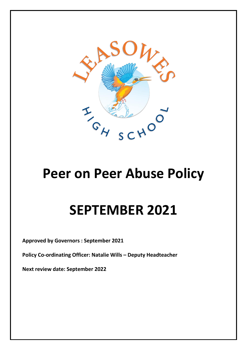

## **Peer on Peer Abuse Policy**

# **SEPTEMBER 2021**

**Approved by Governors : September 2021**

**Policy Co-ordinating Officer: Natalie Wills – Deputy Headteacher**

**Next review date: September 2022**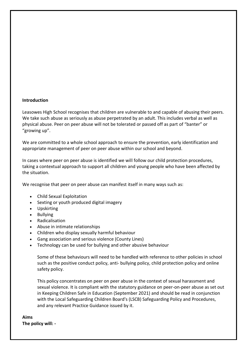#### **Introduction**

Leasowes High School recognises that children are vulnerable to and capable of abusing their peers. We take such abuse as seriously as abuse perpetrated by an adult. This includes verbal as well as physical abuse. Peer on peer abuse will not be tolerated or passed off as part of "banter" or "growing up".

We are committed to a whole school approach to ensure the prevention, early identification and appropriate management of peer on peer abuse within our school and beyond.

In cases where peer on peer abuse is identified we will follow our child protection procedures, taking a contextual approach to support all children and young people who have been affected by the situation.

We recognise that peer on peer abuse can manifest itself in many ways such as:

- Child Sexual Exploitation
- Sexting or youth produced digital imagery
- Upskirting
- Bullying
- Radicalisation
- Abuse in intimate relationships
- Children who display sexually harmful behaviour
- Gang association and serious violence (County Lines)
- Technology can be used for bullying and other abusive behaviour

Some of these behaviours will need to be handled with reference to other policies in school such as the positive conduct policy, anti- bullying policy, child protection policy and online safety policy.

This policy concentrates on peer on peer abuse in the context of sexual harassment and sexual violence. It is compliant with the statutory guidance on peer-on-peer abuse as set out in Keeping Children Safe in Education (September 2021) and should be read in conjunction with the Local Safeguarding Children Board's (LSCB) Safeguarding Policy and Procedures, and any relevant Practice Guidance issued by it.

**Aims The policy will: -**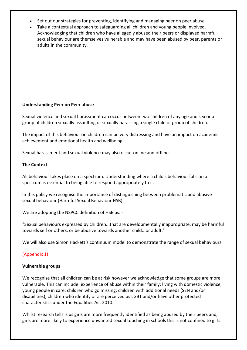- Set out our strategies for preventing, identifying and managing peer on peer abuse
- Take a contextual approach to safeguarding all children and young people involved. Acknowledging that children who have allegedly abused their peers or displayed harmful sexual behaviour are themselves vulnerable and may have been abused by peer, parents or adults in the community.

#### **Understanding Peer on Peer abuse**

Sexual violence and sexual harassment can occur between two children of any age and sex or a group of children sexually assaulting or sexually harassing a single child or group of children.

The impact of this behaviour on children can be very distressing and have an impact on academic achievement and emotional health and wellbeing.

Sexual harassment and sexual violence may also occur online and offline.

#### **The Context**

All behaviour takes place on a spectrum. Understanding where a child's behaviour falls on a spectrum is essential to being able to respond appropriately to it.

In this policy we recognise the importance of distinguishing between problematic and abusive sexual behaviour (Harmful Sexual Behaviour HSB).

We are adopting the NSPCC definition of HSB as: -

"Sexual behaviours expressed by children...that are developmentally inappropriate, may be harmful towards self or others, or be abusive towards another child...or adult."

We will also use Simon Hackett's continuum model to demonstrate the range of sexual behaviours.

#### (Appendix 1)

#### **Vulnerable groups**

We recognise that all children can be at risk however we acknowledge that some groups are more vulnerable. This can include: experience of abuse within their family; living with domestic violence; young people in care; children who go missing; children with additional needs (SEN and/or disabilities); children who identify or are perceived as LGBT and/or have other protected characteristics under the Equalities Act 2010.

Whilst research tells is us girls are more frequently identified as being abused by their peers and, girls are more likely to experience unwanted sexual touching in schools this is not confined to girls.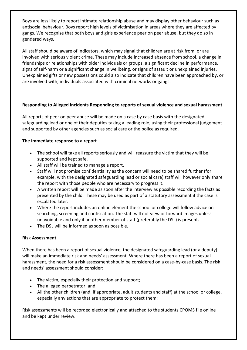Boys are less likely to report intimate relationship abuse and may display other behaviour such as antisocial behaviour. Boys report high levels of victimisation in areas where they are affected by gangs. We recognise that both boys and girls experience peer on peer abuse, but they do so in gendered ways.

All staff should be aware of indicators, which may signal that children are at risk from, or are involved with serious violent crime. These may include increased absence from school, a change in friendships or relationships with older individuals or groups, a significant decline in performance, signs of self-harm or a significant change in wellbeing, or signs of assault or unexplained injuries. Unexplained gifts or new possessions could also indicate that children have been approached by, or are involved with, individuals associated with criminal networks or gangs.

#### **Responding to Alleged Incidents Responding to reports of sexual violence and sexual harassment**

All reports of peer on peer abuse will be made on a case by case basis with the designated safeguarding lead or one of their deputies taking a leading role, using their professional judgement and supported by other agencies such as social care or the police as required.

#### **The immediate response to a report**

- The school will take all reports seriously and will reassure the victim that they will be supported and kept safe.
- All staff will be trained to manage a report.
- Staff will not promise confidentiality as the concern will need to be shared further (for example, with the designated safeguarding lead or social care) staff will however only share the report with those people who are necessary to progress it.
- A written report will be made as soon after the interview as possible recording the facts as presented by the child. These may be used as part of a statutory assessment if the case is escalated later.
- Where the report includes an online element the school or college will follow advice on searching, screening and confiscation. The staff will not view or forward images unless unavoidable and only if another member of staff (preferably the DSL) is present.
- The DSL will be informed as soon as possible.

#### **Risk Assessment**

When there has been a report of sexual violence, the designated safeguarding lead (or a deputy) will make an immediate risk and needs' assessment. Where there has been a report of sexual harassment, the need for a risk assessment should be considered on a case-by-case basis. The risk and needs' assessment should consider:

- The victim, especially their protection and support;
- The alleged perpetrator; and
- All the other children (and, if appropriate, adult students and staff) at the school or college, especially any actions that are appropriate to protect them;

Risk assessments will be recorded electronically and attached to the students CPOMS file online and be kept under review.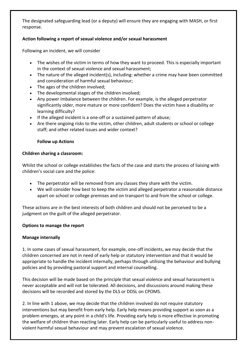The designated safeguarding lead (or a deputy) will ensure they are engaging with MASH, or first response.

#### **Action following a report of sexual violence and/or sexual harassment**

Following an incident, we will consider

- The wishes of the victim in terms of how they want to proceed. This is especially important in the context of sexual violence and sexual harassment;
- The nature of the alleged incident(s), including: whether a crime may have been committed and consideration of harmful sexual behaviour;
- The ages of the children involved;
- The developmental stages of the children involved;
- Any power imbalance between the children. For example, is the alleged perpetrator significantly older, more mature or more confident? Does the victim have a disability or learning difficulty?
- If the alleged incident is a one-off or a sustained pattern of abuse;
- Are there ongoing risks to the victim, other children, adult students or school or college staff; and other related issues and wider context?

#### **Follow up Actions**

#### **Children sharing a classroom:**

Whilst the school or college establishes the facts of the case and starts the process of liaising with children's social care and the police:

- The perpetrator will be removed from any classes they share with the victim.
- We will consider how best to keep the victim and alleged perpetrator a reasonable distance apart on school or college premises and on transport to and from the school or college.

These actions are in the best interests of both children and should not be perceived to be a judgment on the guilt of the alleged perpetrator.

#### **Options to manage the report**

#### **Manage internally**

1. In some cases of sexual harassment, for example, one-off incidents, we may decide that the children concerned are not in need of early help or statutory intervention and that it would be appropriate to handle the incident internally, perhaps through utilising the behaviour and bullying policies and by providing pastoral support and internal counselling.

This decision will be made based on the principle that sexual violence and sexual harassment is never acceptable and will not be tolerated. All decisions, and discussions around making these decisions will be recorded and stored by the DLS or DDSL on CPOMS.

2. In line with 1 above, we may decide that the children involved do not require statutory interventions but may benefit from early help. Early help means providing support as soon as a problem emerges, at any point in a child's life. Providing early help is more effective in promoting the welfare of children than reacting later. Early help can be particularly useful to address nonviolent harmful sexual behaviour and may prevent escalation of sexual violence.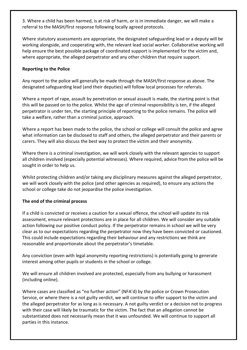3. Where a child has been harmed, is at risk of harm, or is in immediate danger, we will make a referral to the MASH/first response following locally agreed protocols.

Where statutory assessments are appropriate, the designated safeguarding lead or a deputy will be working alongside, and cooperating with, the relevant lead social worker. Collaborative working will help ensure the best possible package of coordinated support is implemented for the victim and, where appropriate, the alleged perpetrator and any other children that require support.

#### **Reporting to the Police**

Any report to the police will generally be made through the MASH/first response as above. The designated safeguarding lead (and their deputies) will follow local processes for referrals.

Where a report of rape, assault by penetration or sexual assault is made, the starting point is that this will be passed on to the police. Whilst the age of criminal responsibility is ten, if the alleged perpetrator is under ten, the starting principle of reporting to the police remains. The police will take a welfare, rather than a criminal justice, approach.

Where a report has been made to the police, the school or college will consult the police and agree what information can be disclosed to staff and others, the alleged perpetrator and their parents or carers. They will also discuss the best way to protect the victim and their anonymity.

Where there is a criminal investigation, we will work closely with the relevant agencies to support all children involved (especially potential witnesses). Where required, advice from the police will be sought in order to help us.

Whilst protecting children and/or taking any disciplinary measures against the alleged perpetrator, we will work closely with the police (and other agencies as required), to ensure any actions the school or college take do not jeopardise the police investigation.

#### **The end of the criminal process**

If a child is convicted or receives a caution for a sexual offence, the school will update its risk assessment, ensure relevant protections are in place for all children. We will consider any suitable action following our positive conduct policy. If the perpetrator remains in school we will be very clear as to our expectations regarding the perpetrator now they have been convicted or cautioned. This could include expectations regarding their behaviour and any restrictions we think are reasonable and proportionate about the perpetrator's timetable.

Any conviction (even with legal anonymity reporting restrictions) is potentially going to generate interest among other pupils or students in the school or college.

We will ensure all children involved are protected, especially from any bullying or harassment (including online).

Where cases are classified as "no further action" (NFA'd) by the police or Crown Prosecution Service, or where there is a not guilty verdict, we will continue to offer support to the victim and the alleged perpetrator for as long as is necessary. A not guilty verdict or a decision not to progress with their case will likely be traumatic for the victim. The fact that an allegation cannot be substantiated does not necessarily mean that it was unfounded. We will continue to support all parties in this instance.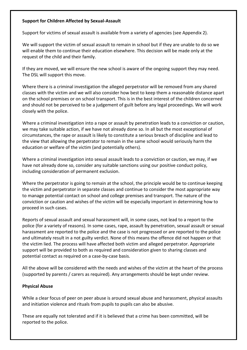#### **Support for Children Affected by Sexual-Assault**

Support for victims of sexual assault is available from a variety of agencies (see Appendix 2).

We will support the victim of sexual assault to remain in school but if they are unable to do so we will enable them to continue their education elsewhere. This decision will be made only at the request of the child and their family.

If they are moved, we will ensure the new school is aware of the ongoing support they may need. The DSL will support this move.

Where there is a criminal investigation the alleged perpetrator will be removed from any shared classes with the victim and we will also consider how best to keep them a reasonable distance apart on the school premises or on school transport. This is in the best interest of the children concerned and should not be perceived to be a judgement of guilt before any legal proceedings. We will work closely with the police.

Where a criminal investigation into a rape or assault by penetration leads to a conviction or caution, we may take suitable action, if we have not already done so. In all but the most exceptional of circumstances, the rape or assault is likely to constitute a serious breach of discipline and lead to the view that allowing the perpetrator to remain in the same school would seriously harm the education or welfare of the victim (and potentially others).

Where a criminal investigation into sexual assault leads to a conviction or caution, we may, if we have not already done so, consider any suitable sanctions using our positive conduct policy, including consideration of permanent exclusion.

Where the perpetrator is going to remain at the school, the principle would be to continue keeping the victim and perpetrator in separate classes and continue to consider the most appropriate way to manage potential contact on school and college premises and transport. The nature of the conviction or caution and wishes of the victim will be especially important in determining how to proceed in such cases.

Reports of sexual assault and sexual harassment will, in some cases, not lead to a report to the police (for a variety of reasons). In some cases, rape, assault by penetration, sexual assault or sexual harassment are reported to the police and the case is not progressed or are reported to the police and ultimately result in a not guilty verdict. None of this means the offence did not happen or that the victim lied. The process will have affected both victim and alleged perpetrator. Appropriate support will be provided to both as required and consideration given to sharing classes and potential contact as required on a case-by-case basis.

All the above will be considered with the needs and wishes of the victim at the heart of the process (supported by parents / carers as required). Any arrangements should be kept under review.

#### **Physical Abuse**

While a clear focus of peer on peer abuse is around sexual abuse and harassment, physical assaults and initiation violence and rituals from pupils to pupils can also be abusive.

These are equally not tolerated and if it is believed that a crime has been committed, will be reported to the police.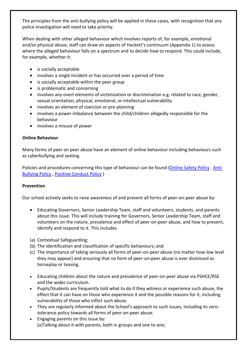The principles from the anti-bullying policy will be applied in these cases, with recognition that any police investigation will need to take priority.

When dealing with other alleged behaviour which involves reports of, for example, emotional and/or physical abuse, staff can draw on aspects of Hackett's continuum (Appendix 1) to assess where the alleged behaviour falls on a spectrum and to decide how to respond. This could include, for example, whether it:

- is socially acceptable
- involves a single incident or has occurred over a period of time
- is socially acceptable within the peer group
- is problematic and concerning
- involves any overt elements of victimisation or discrimination e.g. related to race, gender, sexual orientation, physical, emotional, or intellectual vulnerability
- involves an element of coercion or pre-planning
- involves a power imbalance between the child/children allegedly responsible for the behaviour
- involves a misuse of power

#### **Online Behaviour**

Many forms of peer on peer abuse have an element of online behaviour including behaviours such as cyberbullying and sexting.

Policies and procedures concerning this type of behaviour can be found [\(Online Safety Policy](file:///T:/Staff%20Resources/Staff/Policies/POLICIES/Online%20Safety%20Policy%20September%202021.pdf) , [Anti-](https://3898f763-4e6e-47a7-a1e0-dc9066c48157.filesusr.com/ugd/7858a8_9a851da3dc96496b8965fb4b587d37eb.pdf)[Bullying Policy](https://3898f763-4e6e-47a7-a1e0-dc9066c48157.filesusr.com/ugd/7858a8_9a851da3dc96496b8965fb4b587d37eb.pdf) , [Positive Conduct Policy](https://3898f763-4e6e-47a7-a1e0-dc9066c48157.filesusr.com/ugd/7858a8_fdd4f3e1a03d4644890652170d044657.pdf) )

#### **Prevention**

Our school actively seeks to raise awareness of and prevent all forms of peer-on-peer abuse by:

- Educating Governors, Senior Leadership Team, staff and volunteers, students, and parents about this issue. This will include training for Governors, Senior Leadership Team, staff and volunteers on the nature, prevalence and effect of peer-on-peer abuse, and how to prevent, identify and respond to it. This includes
- (a) Contextual Safeguarding;
- (b) The identification and classification of specific behaviours; and
- (c) The importance of taking seriously all forms of peer-on-peer abuse (no matter how low level they may appear) and ensuring that no form of peer-on-peer abuse is ever dismissed as horseplay or teasing.
- Educating children about the nature and prevalence of peer-on-peer abuse via PSHCE/RSE and the wider curriculum.
- Pupils/Students are frequently told what to do if they witness or experience such abuse, the effect that it can have on those who experience it and the possible reasons for it, including vulnerability of those who inflict such abuse.
- They are regularly informed about the School's approach to such issues, including its zerotolerance policy towards all forms of peer-on-peer abuse.
- Engaging parents on this issue by: (a)Talking about it with parents, both in groups and one to one;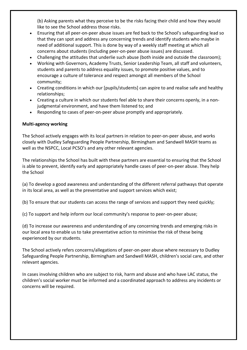(b) Asking parents what they perceive to be the risks facing their child and how they would like to see the School address those risks.

- Ensuring that all peer-on-peer abuse issues are fed back to the School's safeguarding lead so that they can spot and address any concerning trends and identify students who maybe in need of additional support. This is done by way of a weekly staff meeting at which all concerns about students (including peer-on-peer abuse issues) are discussed.
- Challenging the attitudes that underlie such abuse (both inside and outside the classroom);
- Working with Governors, Academy Trusts, Senior Leadership Team, all staff and volunteers, students and parents to address equality issues, to promote positive values, and to encourage a culture of tolerance and respect amongst all members of the School community;
- Creating conditions in which our [pupils/students] can aspire to and realise safe and healthy relationships;
- Creating a culture in which our students feel able to share their concerns openly, in a nonjudgmental environment, and have them listened to; and
- Responding to cases of peer-on-peer abuse promptly and appropriately.

#### **Multi-agency working**

The School actively engages with its local partners in relation to peer-on-peer abuse, and works closely with Dudley Safeguarding People Partnership, Birmingham and Sandwell MASH teams as well as the NSPCC, Local PCSO's and any other relevant agencies.

The relationships the School has built with these partners are essential to ensuring that the School is able to prevent, identify early and appropriately handle cases of peer-on-peer abuse. They help the School

(a) To develop a good awareness and understanding of the different referral pathways that operate in its local area, as well as the preventative and support services which exist;

(b) To ensure that our students can access the range of services and support they need quickly;

(c) To support and help inform our local community's response to peer-on-peer abuse;

(d) To increase our awareness and understanding of any concerning trends and emerging risks in our local area to enable us to take preventative action to minimise the risk of these being experienced by our students.

The School actively refers concerns/allegations of peer-on-peer abuse where necessary to Dudley Safeguarding People Partnership, Birmingham and Sandwell MASH, children's social care, and other relevant agencies.

In cases involving children who are subject to risk, harm and abuse and who have LAC status, the children's social worker must be informed and a coordinated approach to address any incidents or concerns will be required.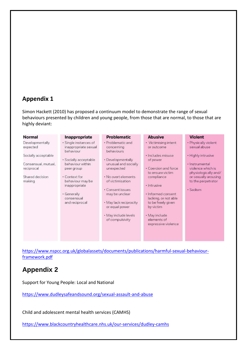### **Appendix 1**

Simon Hackett (2010) has proposed a continuum model to demonstrate the range of sexual behaviours presented by children and young people, from those that are normal, to those that are highly deviant:

| · Single instances of | · Problematic and                                                                                                                                                         |                                                                                                                                                                                                                                                             |                                                                                     |
|-----------------------|---------------------------------------------------------------------------------------------------------------------------------------------------------------------------|-------------------------------------------------------------------------------------------------------------------------------------------------------------------------------------------------------------------------------------------------------------|-------------------------------------------------------------------------------------|
| inappropriate sexual  |                                                                                                                                                                           | • Victimising intent<br>or outcome                                                                                                                                                                                                                          | · Physically violent<br>sexual abuse                                                |
|                       |                                                                                                                                                                           | · Includes misuse                                                                                                                                                                                                                                           | · Highly intrusive                                                                  |
|                       |                                                                                                                                                                           | • Coercion and force<br>to ensure victim<br>compliance                                                                                                                                                                                                      | · Instrumental<br>violence which is<br>physiologically and/<br>or sexually arousing |
|                       |                                                                                                                                                                           | · Intrusive<br>· Informed consent                                                                                                                                                                                                                           | to the perpetrator<br>· Sadism                                                      |
|                       |                                                                                                                                                                           | lacking, or not able<br>to be freely given<br>by victim                                                                                                                                                                                                     |                                                                                     |
|                       |                                                                                                                                                                           | • May include<br>elements of<br>expressive violence                                                                                                                                                                                                         |                                                                                     |
|                       | behaviour<br>· Socially acceptable<br>behaviour within<br>peer group<br>• Context for<br>behaviour may be<br>inappropriate<br>• Generally<br>consensual<br>and reciprocal | concerning<br>behaviours<br>• Developmentally<br>unusual and socially<br>unexpected<br>. No overt elements<br>of victimisation<br>· Consent issues<br>may be unclear<br>· May lack reciprocity<br>or equal power<br>· May include levels<br>of compulsivity | of power                                                                            |

[https://www.nspcc.org.uk/globalassets/documents/publications/harmful-sexual-behaviour](https://www.nspcc.org.uk/globalassets/documents/publications/harmful-sexual-behaviour-%20framework.pdf)[framework.pdf](https://www.nspcc.org.uk/globalassets/documents/publications/harmful-sexual-behaviour-%20framework.pdf)

## **Appendix 2**

Support for Young People: Local and National

<https://www.dudleysafeandsound.org/sexual-assault-and-abuse>

Child and adolescent mental health services (CAMHS)

<https://www.blackcountryhealthcare.nhs.uk/our-services/dudley-camhs>